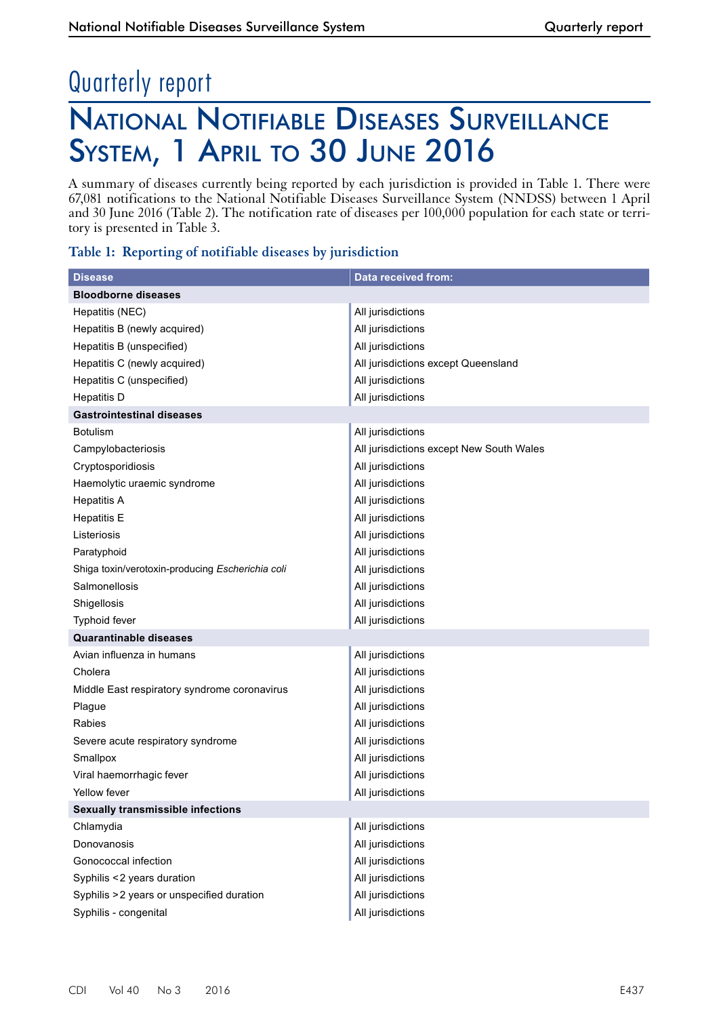# National Notifiable Diseases Surveillance SYSTEM, 1 APRIL TO 30 JUNE 2016 Quarterly report

A summary of diseases currently being reported by each jurisdiction is provided in Table 1. There were 67,081 notifications to the National Notifiable Diseases Surveillance System (NNDSS) between 1 April and 30 June 2016 (Table 2). The notification rate of diseases per 100,000 population for each state or territory is presented in Table 3.

### **Table 1: Reporting of notifiable diseases by jurisdiction**

| <b>Disease</b>                                   | Data received from:                      |
|--------------------------------------------------|------------------------------------------|
| <b>Bloodborne diseases</b>                       |                                          |
| Hepatitis (NEC)                                  | All jurisdictions                        |
| Hepatitis B (newly acquired)                     | All jurisdictions                        |
| Hepatitis B (unspecified)                        | All jurisdictions                        |
| Hepatitis C (newly acquired)                     | All jurisdictions except Queensland      |
| Hepatitis C (unspecified)                        | All jurisdictions                        |
| <b>Hepatitis D</b>                               | All jurisdictions                        |
| <b>Gastrointestinal diseases</b>                 |                                          |
| <b>Botulism</b>                                  | All jurisdictions                        |
| Campylobacteriosis                               | All jurisdictions except New South Wales |
| Cryptosporidiosis                                | All jurisdictions                        |
| Haemolytic uraemic syndrome                      | All jurisdictions                        |
| <b>Hepatitis A</b>                               | All jurisdictions                        |
| <b>Hepatitis E</b>                               | All jurisdictions                        |
| Listeriosis                                      | All jurisdictions                        |
| Paratyphoid                                      | All jurisdictions                        |
| Shiga toxin/verotoxin-producing Escherichia coli | All jurisdictions                        |
| Salmonellosis                                    | All jurisdictions                        |
| Shigellosis                                      | All jurisdictions                        |
| Typhoid fever                                    | All jurisdictions                        |
| <b>Quarantinable diseases</b>                    |                                          |
| Avian influenza in humans                        | All jurisdictions                        |
| Cholera                                          | All jurisdictions                        |
| Middle East respiratory syndrome coronavirus     | All jurisdictions                        |
| Plague                                           | All jurisdictions                        |
| <b>Rabies</b>                                    | All jurisdictions                        |
| Severe acute respiratory syndrome                | All jurisdictions                        |
| Smallpox                                         | All jurisdictions                        |
| Viral haemorrhagic fever                         | All jurisdictions                        |
| Yellow fever                                     | All jurisdictions                        |
| <b>Sexually transmissible infections</b>         |                                          |
| Chlamydia                                        | All jurisdictions                        |
| Donovanosis                                      | All jurisdictions                        |
| Gonococcal infection                             | All jurisdictions                        |
| Syphilis <2 years duration                       | All jurisdictions                        |
| Syphilis > 2 years or unspecified duration       | All jurisdictions                        |
| Syphilis - congenital                            | All jurisdictions                        |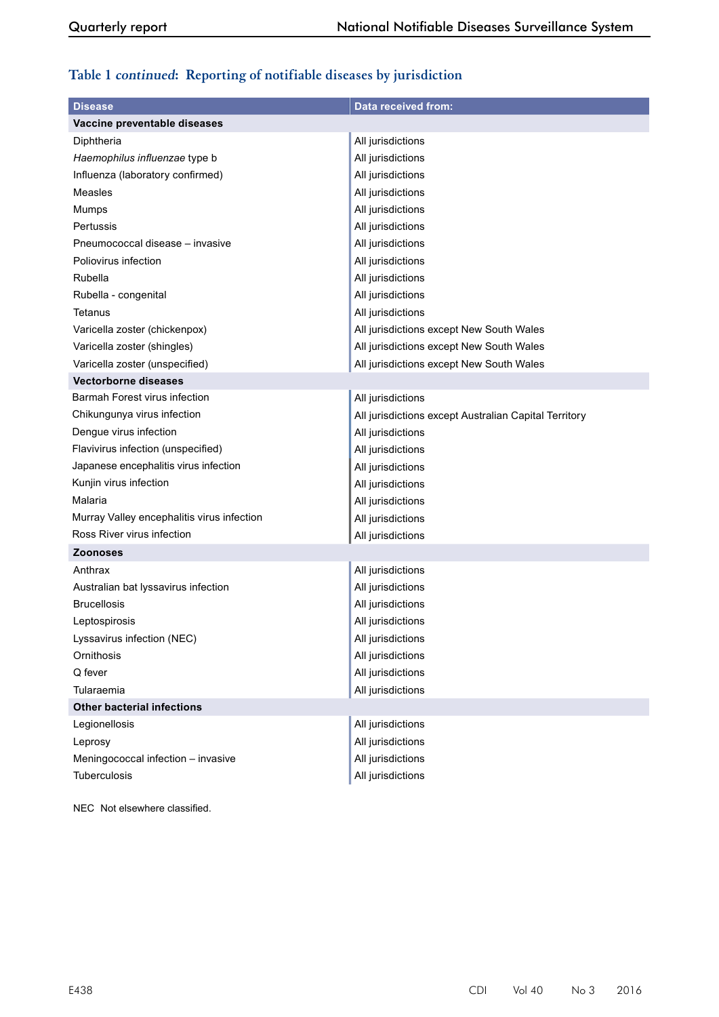## **Table 1 continued: Reporting of notifiable diseases by jurisdiction**

| <b>Disease</b>                             | <b>Data received from:</b>                            |
|--------------------------------------------|-------------------------------------------------------|
| Vaccine preventable diseases               |                                                       |
| Diphtheria                                 | All jurisdictions                                     |
| Haemophilus influenzae type b              | All jurisdictions                                     |
| Influenza (laboratory confirmed)           | All jurisdictions                                     |
| Measles                                    | All jurisdictions                                     |
| Mumps                                      | All jurisdictions                                     |
| Pertussis                                  | All jurisdictions                                     |
| Pneumococcal disease - invasive            | All jurisdictions                                     |
| Poliovirus infection                       | All jurisdictions                                     |
| Rubella                                    | All jurisdictions                                     |
| Rubella - congenital                       | All jurisdictions                                     |
| Tetanus                                    | All jurisdictions                                     |
| Varicella zoster (chickenpox)              | All jurisdictions except New South Wales              |
| Varicella zoster (shingles)                | All jurisdictions except New South Wales              |
| Varicella zoster (unspecified)             | All jurisdictions except New South Wales              |
| <b>Vectorborne diseases</b>                |                                                       |
| Barmah Forest virus infection              | All jurisdictions                                     |
| Chikungunya virus infection                | All jurisdictions except Australian Capital Territory |
| Dengue virus infection                     | All jurisdictions                                     |
| Flavivirus infection (unspecified)         | All jurisdictions                                     |
| Japanese encephalitis virus infection      | All jurisdictions                                     |
| Kunjin virus infection                     | All jurisdictions                                     |
| Malaria                                    | All jurisdictions                                     |
| Murray Valley encephalitis virus infection | All jurisdictions                                     |
| Ross River virus infection                 | All jurisdictions                                     |
| <b>Zoonoses</b>                            |                                                       |
| Anthrax                                    | All jurisdictions                                     |
| Australian bat lyssavirus infection        | All jurisdictions                                     |
| <b>Brucellosis</b>                         | All jurisdictions                                     |
| Leptospirosis                              | All jurisdictions                                     |
| Lyssavirus infection (NEC)                 | All jurisdictions                                     |
| Ornithosis                                 | All jurisdictions                                     |
| Q fever                                    | All jurisdictions                                     |
| Tularaemia                                 | All jurisdictions                                     |
| <b>Other bacterial infections</b>          |                                                       |
| Legionellosis                              | All jurisdictions                                     |
| Leprosy                                    | All jurisdictions                                     |
| Meningococcal infection - invasive         | All jurisdictions                                     |
| Tuberculosis                               | All jurisdictions                                     |

NEC Not elsewhere classified.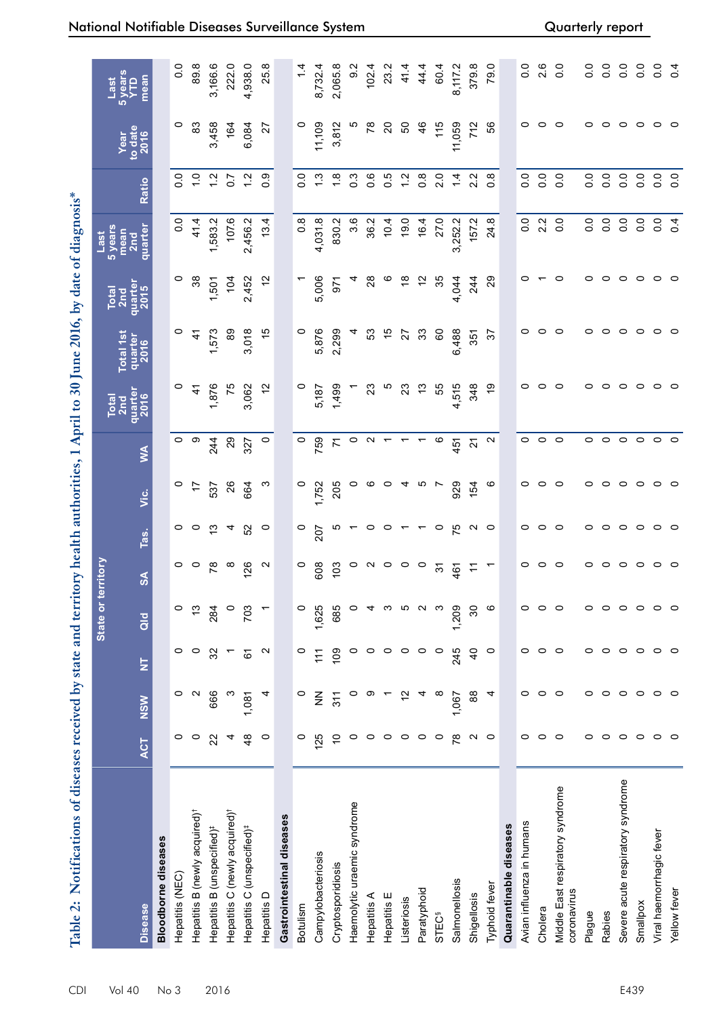| $20$ and $40$ and $20$ |                               |
|------------------------|-------------------------------|
|                        |                               |
|                        |                               |
|                        |                               |
| $\sqrt{16}$ by date.   | <b>Common Not better</b>      |
|                        |                               |
| <b>Pulling</b>         |                               |
|                        |                               |
| りくり                    |                               |
| ļ                      |                               |
|                        | j                             |
|                        | ו<br>ו                        |
|                        |                               |
| C Called Ave. C        |                               |
|                        |                               |
|                        |                               |
|                        |                               |
|                        |                               |
|                        |                               |
|                        |                               |
|                        |                               |
|                        |                               |
|                        |                               |
|                        |                               |
|                        |                               |
|                        |                               |
|                        |                               |
|                        |                               |
|                        |                               |
|                        |                               |
|                        | coved by state and territory. |
|                        |                               |
|                        |                               |
|                        |                               |
|                        |                               |
|                        |                               |
|                        |                               |
|                        |                               |
|                        |                               |
|                        |                               |
|                        |                               |
|                        |                               |
|                        |                               |
|                        |                               |
| I                      |                               |

| Table 2: Notifications of diseases received by state and territory health authorities, 1 April to 30 June 2016, by date of diagnosis* |                   |                   |                   |               |                         |                   |                |                   |                 |                 |                 |                  |                  |                         |                        |
|---------------------------------------------------------------------------------------------------------------------------------------|-------------------|-------------------|-------------------|---------------|-------------------------|-------------------|----------------|-------------------|-----------------|-----------------|-----------------|------------------|------------------|-------------------------|------------------------|
|                                                                                                                                       |                   |                   |                   | State or te   | rritory                 |                   |                |                   | Total<br>2nd    | Total 1st       | Total<br>2nd    | 5 years<br>Last  |                  |                         | 5 years<br>YTD<br>Last |
| <b>Disease</b>                                                                                                                        | <b>ACT</b>        | NSW               | E                 | $\frac{d}{d}$ | $\overline{\mathbf{S}}$ | Tas.              | نا             | ≸                 | quarter<br>2016 | quarter<br>2016 | quarter<br>2015 | quarter<br>2nd   | Ratio            | Year<br>to date<br>2016 | mean                   |
| <b>Bloodborne diseases</b>                                                                                                            |                   |                   |                   |               |                         |                   |                |                   |                 |                 |                 |                  |                  |                         |                        |
| Hepatitis (NEC)                                                                                                                       | 0                 | 0                 | 0                 | $\circ$       | 0                       | 0                 | 0              | 0                 | 0               | 0               | 0               | °.o              | o.o              | 0                       | $\overline{0}$         |
| Hepatitis B (newly acquired) <sup>†</sup>                                                                                             | 0                 | $\mathbf{\Omega}$ | $\circ$           | $\frac{3}{2}$ | $\circ$                 | $\circ$           | $\overline{z}$ | တ                 | $\ddot{4}$      | $\ddot{4}$      | 38              | 41.4             | $\frac{0}{1}$    | 83                      | 89.8                   |
| Hepatitis B (unspecified) <sup>#</sup>                                                                                                | 22                | 666               | 32                | 284           | $\frac{8}{1}$           | င္း               | 537            | 244               | 1,876           | 1,573           | 1,501           | 1,583.2          | $\frac{2}{1}$    | 3,458                   | 3,166.6                |
| Hepatitis C (newly acquired) <sup>†</sup>                                                                                             | 4                 |                   |                   |               | $\infty$                | 4                 | 26             | $\mathbf{S}$      | 75              | 89              | 104             | 107.6            | $\overline{0.7}$ | 164                     | 222.0                  |
| Hepatitis C (unspecified) <sup>#</sup>                                                                                                | $\frac{8}{4}$     | 1,081             | 61                | 703           | 126                     | 52                | 664            | 327               | 3,062           | 3,018           | 2,452           | 2,456.2          | $\frac{2}{1}$    | 6,084                   | 4,938.0                |
| Hepatitis D                                                                                                                           | $\circ$           | 4                 | $\mathbf{\Omega}$ |               | $\sim$                  | $\circ$           | က              | $\circ$           | $\tilde{c}$     | $\frac{5}{2}$   | $\frac{1}{2}$   | 13.4             | 0.9              | 27                      | 25.8                   |
| Gastrointestinal diseases                                                                                                             |                   |                   |                   |               |                         |                   |                |                   |                 |                 |                 |                  |                  |                         |                        |
| Botulism                                                                                                                              | $\circ$           | $\circ$           | $\circ$           | $\circ$       | $\circ$                 | $\circ$           | $\circ$        | $\circ$           | $\circ$         | 0               |                 | $0.\overline{8}$ | $\overline{0}$ . | $\circ$                 | $1\overline{4}$        |
| Campylobacteriosis                                                                                                                    | 125               | $\frac{z}{z}$     | $\ddot{=}$        | 1,625         | 608                     | 207               | 1,752          | 759               | 5,187           | 5,876           | 5,006           | 4,031.8          | $\frac{3}{2}$    | 11,109                  | 8,732.4                |
| Cryptosporidiosis                                                                                                                     | $\tilde{0}$       | 311               | 109               | 685           | 103                     | ഗ                 | 205            | 71                | 1,499           | 2,299           | 571             | 830.2            | 1.8              | 3,812                   | 2,065.8                |
| Haemolytic uraemic syndrome                                                                                                           | $\circ$           | 0                 | $\circ$           |               | $\circ$                 |                   | 0              | $\circ$           |                 | 4               |                 | $3.\overline{6}$ | $0.\overline{3}$ | Ю                       | $\frac{2}{9}$          |
| Hepatitis A                                                                                                                           | 0                 | თ                 | 0                 |               | $\sim$                  | 0                 | ဖ              | N                 | 23              | 53              | $^{8}$          | 36.2             | 0.6              | $\frac{8}{2}$           | 102.4                  |
| Hepatitis E                                                                                                                           | $\circ$           |                   | 0                 | ო             | $\circ$                 | $\circ$           | 0              |                   | ယ               | 15              | $\circ$         | 10.4             | $\overline{0}$ . | 20                      | 23.2                   |
| Listeriosis                                                                                                                           | $\circ$           | $\frac{1}{2}$     | $\circ$           | ഥ             | $\circ$                 |                   |                |                   | 23              | 27              | $\frac{8}{3}$   | 19.0             | 1.2              | SO                      | 41.4                   |
| Paratyphoid                                                                                                                           | $\circ$           |                   | 0                 |               | $\circ$                 |                   | ယ              |                   | \$              | 33              | $\tilde{c}$     | 16.4             | $0.\overline{8}$ | 46                      | 44.4                   |
| STEC <sup>§</sup>                                                                                                                     | $\circ$           | ∞                 | $\circ$           |               | $\overline{5}$          | $\circ$           | $\overline{ }$ | O                 | 55              | 60              | 35              | 27.0             | 2.0              | 115                     | 60.4                   |
| Salmonellosis                                                                                                                         | $\overline{78}$   | 1,067             | 245               | 1,209         | 461                     | 75                | 929            | 451               | 4,515           | 6,488           | 4,044           | 3,252.2          | 1.4              | 11,059                  | 8,117.2                |
| Shigellosis                                                                                                                           | $\mathbf{\Omega}$ | 88                | $\frac{1}{2}$     | 30            | $\pm$                   | $\mathbf{\Omega}$ | 154            | 21                | 348             | 351             | 244             | 157.2            | 2.2              | 712                     | 379.8                  |
| Typhoid fever                                                                                                                         | $\circ$           | 4                 | $\circ$           | ဖ             | $\overline{a}$          | $\circ$           | ဖ              | $\mathbf{\Omega}$ | ę,              | $\mathcal{L}$   | 29              | 24.8             | $0.\overline{8}$ | 56                      | 79.0                   |
| Quarantinable diseases                                                                                                                |                   |                   |                   |               |                         |                   |                |                   |                 |                 |                 |                  |                  |                         |                        |
| Avian influenza in humans                                                                                                             | 0                 | 0                 | 0                 | 0             | 0                       | 0                 | 0              | 0                 | 0               | 0               | 0               | $\overline{0}$ . | $\overline{0}$ . | 0                       | $\frac{0}{2}$          |
| Cholera                                                                                                                               | 0                 | 0                 | $\circ$           | 0             | 0                       | $\circ$           | 0              | 0                 | $\circ$         | 0               |                 | 2.2              | 0.0              | 0                       | 2.6                    |
| Middle East respiratory syndrome<br>coronavirus                                                                                       | $\circ$           | $\circ$           | $\circ$           | $\circ$       | $\circ$                 | $\circ$           | $\circ$        | $\circ$           | $\circ$         | $\circ$         | 0               | $\overline{0}$ . | 0.0              | 0                       | 0.0                    |
| Plague                                                                                                                                | 0                 | 0                 | 0                 | 0             |                         | $\circ$           | 0              | 0                 | 0               | 0               | 0               | $\overline{0}$ . | 0.0              | 0                       | $\overline{0}$ .       |
| Rabies                                                                                                                                | 0                 | 0                 | 0                 | $\circ$       |                         | $\circ$           | $\circ$        | 0                 | $\circ$         | ○               | 0               | 0.0              | $\overline{0}$ . | 0                       | 0.0                    |
| Severe acute respiratory syndrome                                                                                                     | $\circ$           | 0                 | $\circ$           | $\circ$       |                         | $\circ$           | 0              | 0                 | $\circ$         | 0               | 0               | 0.0              | $\overline{0}$ . | 0                       | 0.0                    |
| Smallpox                                                                                                                              | $\circ$           | $\circ$           | $\circ$           | $\circ$       | 0                       | $\circ$           | 0              | $\circ$           | $\circ$         | 0               | 0               | $\frac{0}{0}$    | 0.0              | $\circ$                 | $\frac{0}{0}$          |
| Viral haemorrhagic fever                                                                                                              | $\circ$           | $\circ$           | $\circ$           | 0             | 0                       | $\circ$           | $\circ$        | 0                 | $\circ$         | 0               | 0               | 0.0              | 0.0              | 0                       | $\overline{0}$ .       |
| Yellow fever                                                                                                                          | $\circ$           | $\circ$           | $\circ$           | $\circ$       | $\circ$                 | $\circ$           | $\circ$        | $\circ$           | $\circ$         | $\circ$         | $\circ$         | $\overline{0.4}$ | 0.0              | $\circ$                 | 0.4                    |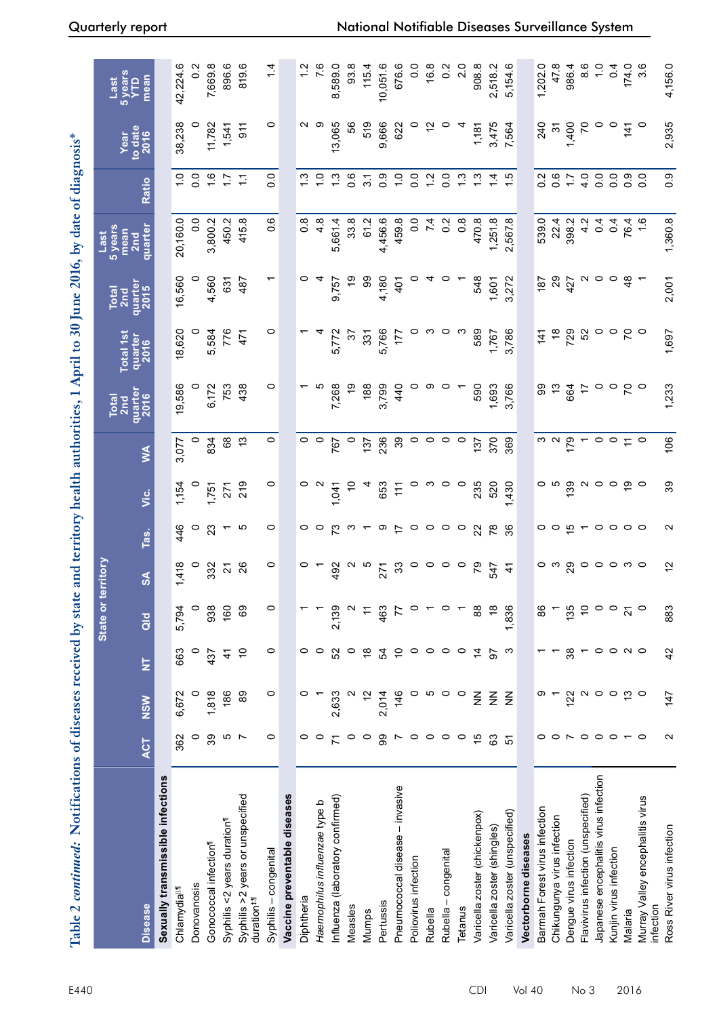| Table 2 continued: Notifications of diseases received by state and territory health authorities, 1 April to 30 June 2016, by date of diagnosis* |                                                                                              |                 |                         |                     |                 |                   |             |                                             |                 |                  |                 |                                            |                  |                 |                        |
|-------------------------------------------------------------------------------------------------------------------------------------------------|----------------------------------------------------------------------------------------------|-----------------|-------------------------|---------------------|-----------------|-------------------|-------------|---------------------------------------------|-----------------|------------------|-----------------|--------------------------------------------|------------------|-----------------|------------------------|
|                                                                                                                                                 |                                                                                              |                 |                         | State or            | territory       |                   |             |                                             | Total<br>2nd    | <b>Total 1st</b> | Total<br>2nd    | 5 years<br>mean<br>Last<br>2 <sub>nd</sub> |                  | to date<br>Year | Last<br>5 years<br>YTD |
| <b>Disease</b>                                                                                                                                  | <b>ACT</b>                                                                                   | NSW             | $\overline{\mathsf{z}}$ | $\frac{d}{d}$       | $\frac{5}{2}$   | Tas.              | ن<br>آ      | Š                                           | quarter<br>2016 | quarter<br>2016  | quarter<br>2015 | quarter                                    | Ratio            | 2016            | mean                   |
| Sexually transmissible infections                                                                                                               |                                                                                              |                 |                         |                     |                 |                   |             |                                             |                 |                  |                 |                                            |                  |                 |                        |
| Chlamydia <sup>ll,1</sup>                                                                                                                       | 362                                                                                          | 6,672           | 663                     | 5,794               | 1,418           | 446               | 1,154       | 3,077                                       | 19,586          | 18,620           | 16,560          | 20,160.0                                   | $\frac{1}{2}$    | 38,238          | 42,224.6               |
| Donovanosis                                                                                                                                     | 0                                                                                            | 0               | $\circ$                 | $\circ$             |                 | 0                 |             |                                             |                 |                  |                 | $\overline{0}$                             | $\overline{0}$   |                 | $\frac{2}{5}$          |
| Gonococcal infection <sup>1</sup>                                                                                                               | 39                                                                                           | 1,818           | 437                     | 938                 | 332             | 23                | 1,751       | 834                                         | 6,172           | 5,584            | 4,560           | 3,800.2                                    | $\frac{6}{1}$    | 11,782          | 7,669.8                |
| Syphilis <2 years duration <sup>1</sup>                                                                                                         | ம                                                                                            | 186             | 4                       | 160                 | 21              |                   | 271         | 89                                          | 753             | 776              | 631             | 450.2                                      | 17               | 1,541           | 896.6                  |
| Syphilis > 2 years or unspecified<br>duration <sup>#,fl</sup>                                                                                   | $\overline{ }$                                                                               | 89              | $\tilde{0}$             | 69                  | 26              | ယ                 | 219         | $\frac{3}{2}$                               | 438             | 471              | 487             | 415.8                                      | Ξ                | 911             | 819.6                  |
| Syphilis-congenital                                                                                                                             | $\circ$                                                                                      | $\circ$         | $\circ$                 | $\circ$             | $\circ$         | 0                 | $\circ$     | $\circ$                                     | $\circ$         | $\circ$          |                 | 0.6                                        | 0.0              | $\circ$         | 1.4                    |
| Vaccine preventable diseases                                                                                                                    |                                                                                              |                 |                         |                     |                 |                   |             |                                             |                 |                  |                 |                                            |                  |                 |                        |
| Diphtheria                                                                                                                                      | $\circ$                                                                                      |                 | 0                       |                     |                 | $\circ$           |             | $\circ$                                     |                 |                  |                 | $\frac{8}{2}$                              | $\frac{3}{2}$    |                 | $\frac{2}{1}$          |
| Haemophilus influenzae type b                                                                                                                   | $\circ$                                                                                      |                 | $\circ$                 |                     |                 | o                 |             | $\circ$                                     |                 |                  |                 | $4.\overline{8}$                           | $\frac{0}{1}$    | တ               | 7.6                    |
| Influenza (laboratory confirmed)                                                                                                                | $\overline{r}$                                                                               | 2,633           | 52                      | 2,139               | 492             | 73                | 1,041       | 767                                         | 7,268           | 5,772            | 9,757           | 5,661.4                                    | $\frac{3}{2}$    | 13,065          | 8,589.0                |
| Measles                                                                                                                                         | $\circ$                                                                                      |                 | $\circ$                 | $\mathbf{\Omega}$   |                 | ო                 | $\tilde{=}$ | $\circ$                                     | e,              | $\mathcal{L}$    | င္              | 33.8                                       | $0.\overline{6}$ | 56              | 93.8                   |
| Mumps                                                                                                                                           | $\circ$                                                                                      | $\tilde{c}$     | $\frac{8}{3}$           | $\div$              |                 |                   |             | 137                                         | 188             | 331              | 86              | 61.2                                       | $\overline{3}$ . | 519             | 115.4                  |
| Pertussis                                                                                                                                       | 99                                                                                           | 2,014           | 54                      | 463                 | 271             | တ                 | 653         | 236                                         | 3,799           | 5,766            | 4,180           | 4,456.6                                    | $\frac{6}{10}$   | 9,666           | 10,051.6               |
| Pneumococcal disease - invasive                                                                                                                 | $\overline{r}$                                                                               | 146             | $\overline{C}$          | 77                  | 33              | $\overline{1}$    | $\pm$       | 39                                          | 440             | 177              | 401             | 459.8                                      | $\frac{0}{1}$    | 622             | 676.6                  |
| Poliovirus infection                                                                                                                            | $\circ$                                                                                      | $\circ$         | $\circ$                 | $\circ$             | 0               | $\circ$           | $\circ$     | $\circ$                                     |                 |                  |                 | $\frac{0}{0}$                              | $\overline{0}$ . |                 | $\overline{0}$         |
| Rubella                                                                                                                                         | $\circ$                                                                                      | Ю               | $\circ$                 |                     | 0               | 0                 | ო           | $\circ$                                     |                 |                  |                 | 74                                         | $\frac{2}{1}$    |                 | 16.8                   |
| Rubella – congenital                                                                                                                            | $\circ$                                                                                      | $\circ$         | $\circ$                 | $\circ$             | 0               | 0                 | $\circ$     | $\circ$                                     |                 | 0                |                 | $0.\overline{2}$                           | $\overline{0}$   | 0               | $\frac{2}{3}$          |
| Tetanus                                                                                                                                         | $\circ$                                                                                      | $\circ$         | 0                       |                     | $\circ$         | $\circ$           | $\circ$     | $\circ$                                     |                 |                  |                 | $0.\overline{8}$                           | $\frac{3}{2}$    |                 | $\overline{c}$         |
| varicella zoster (chickenpox)                                                                                                                   | 15                                                                                           | $\frac{2}{2}$   | $\overline{4}$          | $^{\circ}_{\infty}$ | 54              | 22                | 235         | 137                                         | 590             | 589              | 548             | 470.8                                      | $\frac{3}{2}$    | 1,181           | 908.8                  |
| Varicella zoster (shingles)                                                                                                                     | 63                                                                                           | $\leq$          | 92                      | $\frac{8}{1}$       | 547             | 78                | 520         | 370                                         | 1,693           | 1,767            | 1,601           | 1,251.8                                    | 14               | 3,475           | 2,518.2                |
| Varicella zoster (unspecified)                                                                                                                  | 5                                                                                            | $\frac{z}{z}$   | က                       | 1,836               | $\ddot{+}$      | 36                | ,430        | 369                                         | 3,766           | 3,786            | 3,272           | 2,567.8                                    | $\frac{15}{2}$   | 7,564           | 5,154.6                |
| Vectorborne diseases                                                                                                                            |                                                                                              |                 |                         |                     |                 |                   |             |                                             |                 |                  |                 |                                            |                  |                 |                        |
| Barmah Forest virus infection                                                                                                                   |                                                                                              |                 |                         | 86                  |                 | 0                 |             | ო ო                                         | <u> ၁ ၁</u>     | $\frac{141}{2}$  | 187             | 539.0                                      | $\frac{2}{5}$    | 240             | 1,202.0                |
| Chikungunya virus infection                                                                                                                     | $\circ$                                                                                      |                 |                         |                     |                 | $\circ$           | ယ           |                                             |                 | $\frac{8}{1}$    | $\mathbf{S}$    | 22.4                                       | 0.6              | $\approx$       | 47.8                   |
| Dengue virus infection                                                                                                                          |                                                                                              | 122             | 38                      | 135                 | 29              | 15                | 139         | 179                                         | 664             | 729              | 427             | 398.2                                      | $\ddot{ }$ :     | 1,400<br>70     | 986.4                  |
| Flavivirus infection (unspecified)                                                                                                              | $\begin{array}{c} \mathsf{r} \circ \mathsf{r} \circ \mathsf{r} \circ \mathsf{r} \end{array}$ | N               |                         | $\tilde{c}$         | 0               |                   |             |                                             | $\overline{1}$  | 52               |                 |                                            | 4.0              |                 | 6.0                    |
| Japanese encephalitis virus infection                                                                                                           |                                                                                              | $\circ$         | $\circ$                 | $\circ$             | $\circ$ $\circ$ | $\circ$ $\circ$   | $\circ$     | $\circ$                                     | $\circ$ $\circ$ | $\circ$          | $\circ$         | 404                                        | $\overline{0}$ . |                 |                        |
| Kunjin virus infection                                                                                                                          |                                                                                              | $\circ$         | $\circ$                 | $\circ$             |                 |                   | $\circ$     | $\circ$                                     |                 | $\circ$          | $\circ$         | 0.4                                        | $\overline{0}$ . | $\circ$         | 0.4                    |
| Malaria                                                                                                                                         | $\sim$ 0                                                                                     | $\frac{1}{2}$ 0 | $\sim$ $\sim$           | $\overline{2}1$     | m ⊝             | $\circ$ $\circ$   | စ္ ၀        | $\stackrel{\textstyle\sim}{\textstyle\sim}$ | $5^{\circ}$     | 50               | $\frac{8}{4}$   | 76.4                                       | 0.9              | $\frac{14}{1}$  | 174.0                  |
| Murray Valley encephalitis virus<br>nfection                                                                                                    |                                                                                              |                 |                         | $\circ$             |                 |                   |             | $\circ$                                     |                 | $\circ$          |                 | $\frac{6}{1}$                              | $\overline{0}$ . | $\circ$         | 3.6                    |
| Ross River virus infection                                                                                                                      | $\mathbf{\sim}$                                                                              | 147             | 42                      | 883                 | $\tilde{c}$     | $\mathbf{\Omega}$ | 39          | 106                                         | 1,233           | 1,697            | 2,001           | 1,360.8                                    | 0.9              | 2,935           | 4,156.0                |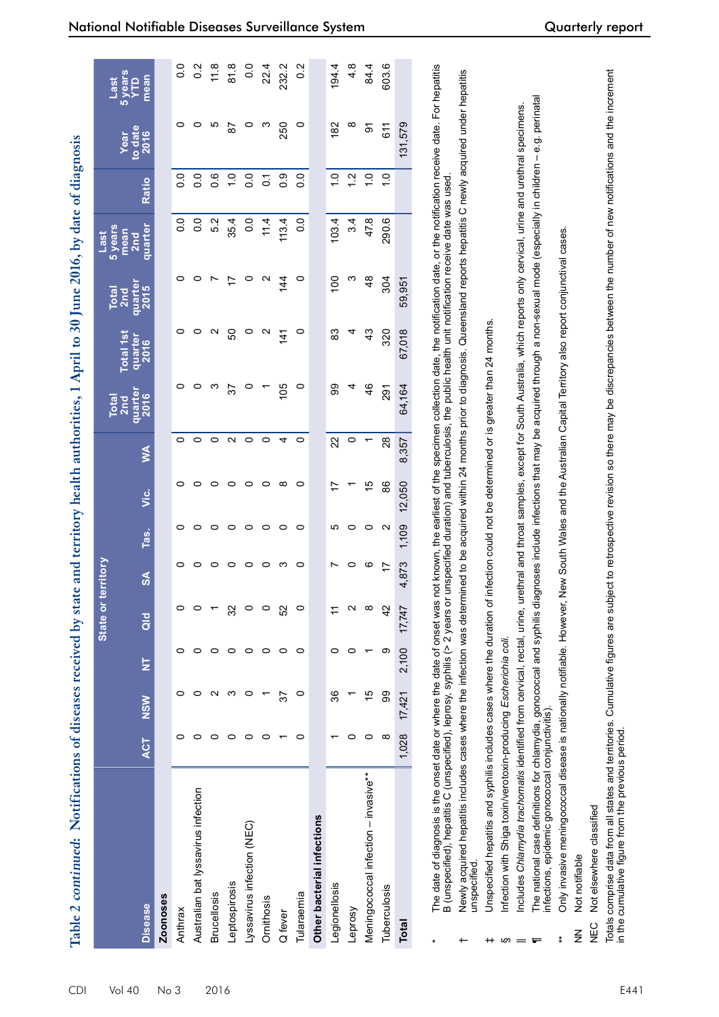| by date of dia,                                                                       |
|---------------------------------------------------------------------------------------|
|                                                                                       |
| į                                                                                     |
| l                                                                                     |
|                                                                                       |
| $\frac{1}{2}$                                                                         |
|                                                                                       |
| $\frac{1}{2}$<br>$\sim$ TH TANK T                                                     |
|                                                                                       |
|                                                                                       |
| Artified I A                                                                          |
|                                                                                       |
|                                                                                       |
| a a bhliann an an airs                                                                |
|                                                                                       |
|                                                                                       |
| second her ctote and territories                                                      |
| ֧ׅׅ֧֧֧֧֧֧֧֧֧֧֧֧֧֪֧֪֪֪֪֧֪֧֚֚֚֚֚֚֚֚֚֚֚֚֚֚֚֚֚֚֚֚֚֚֚֚֚֚֚֚֚֚֚֡֡֓֡֝֓֝֓֝֓֝֬֝֓֝֬֝֬֝֬֝֬֝֬֝֬֝֬֝ |
| was shared and res                                                                    |
|                                                                                       |
|                                                                                       |
|                                                                                       |
|                                                                                       |
|                                                                                       |
| I                                                                                     |
|                                                                                       |
|                                                                                       |
|                                                                                       |
|                                                                                       |
|                                                                                       |
|                                                                                       |
|                                                                                       |
|                                                                                       |
|                                                                                       |
|                                                                                       |
|                                                                                       |
|                                                                                       |
| I                                                                                     |

|                                      |            |            |                         | State o       | rterritory    |                   |        |                 | Total<br>2nd<br>quarter<br>2016 | Total 1st         | Total<br>2nd<br>quarter<br>2015 | Last<br>5 years<br>mean<br>2nd |                  |                         |                                |
|--------------------------------------|------------|------------|-------------------------|---------------|---------------|-------------------|--------|-----------------|---------------------------------|-------------------|---------------------------------|--------------------------------|------------------|-------------------------|--------------------------------|
| <b>Disease</b>                       | <b>ACT</b> | <b>NSW</b> | $\overline{\mathsf{z}}$ | $\frac{d}{d}$ | $\frac{3}{2}$ | Tas.              | ن<br>آ | $\leq$          |                                 | quarter<br>2016   |                                 | quarter                        | <b>Ratio</b>     | Year<br>to date<br>2016 | Last<br>5 years<br>YTD<br>mean |
| <b>Zoonoses</b>                      |            |            |                         |               |               |                   |        |                 |                                 |                   |                                 |                                |                  |                         |                                |
| Anthrax                              |            |            |                         |               |               |                   |        |                 |                                 |                   | $\circ$                         | $\frac{0}{2}$                  | 0.0              |                         | o<br>O                         |
| Australian bat lyssavirus infection  |            |            |                         |               |               | 0                 |        | 0               |                                 |                   |                                 | $\overline{0}$ .               | 0.0              |                         | $\frac{2}{5}$                  |
| <b>Brucellosis</b>                   |            |            |                         |               |               | 0                 |        | 0               | ო                               | $\mathbf{\Omega}$ |                                 | 5.2                            | $0.\overline{6}$ |                         | 11.8                           |
| Leptospirosis                        |            | ო          |                         | న             |               | 0                 |        | $\mathbf{\sim}$ | 57                              | SO                | 17                              | 35.4                           | $\frac{0}{1}$    | $\overline{8}$          | 81.8                           |
| Lyssavirus infection (NEC)           | ◠          | 0          | 0                       |               | 0             | 0                 | 0      | 0               | $\circ$                         | $\circ$           | O                               | 0.0                            | $\overline{0}$ . | O                       | $\frac{0}{2}$                  |
| Ornithosis                           |            |            |                         |               | 0             | 0                 | 0      | 0               |                                 | $\mathbf{\Omega}$ | $\mathbf{\Omega}$               | 11.4                           | $\overline{c}$   | <u>က</u>                | 22.4                           |
| Q fever                              |            | 57         |                         | SS            | ო             | 0                 | ∞      | 4               | 105                             | $\frac{4}{1}$     | 144                             | 113.4                          | 0.9              | 250                     | 232.2                          |
| Tularaemia                           | 0          | 0          | 0                       |               | 0             | 0                 | 0      | 0               | $\circ$                         | $\circ$           | $\circ$                         | 0.0                            | $\overline{0}$ . | $\circ$                 | $\frac{2}{3}$                  |
| Other bacterial infections           |            |            |                         |               |               |                   |        |                 |                                 |                   |                                 |                                |                  |                         |                                |
| Legionellosis                        |            | 36         | o                       | H             |               | ഥ                 | 17     | 22              | 99                              | 83                | 100                             | 103.4                          | $\frac{0}{1}$    | 182                     | 194.4                          |
| Leprosy                              |            |            |                         |               |               | 0                 |        | 0               | 4                               |                   | <u>က</u>                        | 3.4                            | $\frac{2}{1}$    | $\infty$                | $\frac{8}{4}$                  |
| Meningococcal infection - invasive** |            | 15         |                         |               | ဖ             | 0                 | 15     |                 | $\frac{4}{6}$                   | $\frac{3}{4}$     | $\frac{8}{3}$                   | 47.8                           | $\frac{0}{1}$    | $\overline{5}$          | 84.4                           |
| Tuberculosis                         | ∞          | 99         | თ                       | 4             | 17            | $\mathbf{\Omega}$ | 86     | $^{28}$         | 291                             | 320               | 304                             | 290.6                          | $\frac{0}{1}$    | 611                     | 603.6                          |
| <b>Total</b>                         | 1,028      | 17,421     | 2,100                   | 17,747        | 4,873         | 1,109             | 12,050 | 8,357           | 64,164                          | 67,018            | 59,951                          |                                |                  | 131,579                 |                                |
|                                      |            |            |                         |               |               |                   |        |                 |                                 |                   |                                 |                                |                  |                         |                                |

\* The date of diagnosis is the onset date or where the date of onset was not known, the earliest of the specimen collection date, the notification date, or the notification receive date. For hepatitis The date of diagnosis is the onset date or where the date of onset was not known, the earliest of the specimen collection date, the notification date, or the notification receive date. For hepatitis Newly acquired hepatitis includes cases where the infection was determined to be acquired within 24 months prior to diagnosis. Queensland reports hepatitis C newly acquired under hepatitis B (unspecified), hepatitis C (unspecified), leprosy, syphilis (> 2 years or unspecified duration) and tuberculosis, the public health unit notification receive date was used. B (unspecified), hepatitis C (unspecified), leprosy, syphilis (> 2 years or unspecified duration) and tuberculosis, the public health unit notification receive date was used.

\*

- Newly acquired hepatitis includes cases where the infection was determined to be acquired within 24 months prior to diagnosis. Queensland reports hepatitis C newly acquired under hepatitis unspecified unspecified.  $\leftarrow$ 
	- Jnspecified hepatitis and syphilis includes cases where the duration of infection could not be determined or is greater than 24 months. Unspecified hepatitis and syphilis includes cases where the duration of infection could not be determined or is greater than 24 months. ‡
- nfection with Shiga toxin/verotoxin-producing Escherichia coli. Infection with Shiga toxin/verotoxin-producing *Escherichia coli.*
- ncludes Chlamydia trachomatis identified from cervical, rectal, urine, urethral and throat samples, except for South Australia, which reports only cervical, urine and urethral specimens. || Includes *Chlamydia trachomatis* identified from cervical, rectal, urine, urethral and throat samples, except for South Australia, which reports only cervical, urine and urethral specimens.
- The national case definitions for chlamydia, gonococcal and syphilis diagnoses include infections that may be acquired through a non-sexual mode (especially in children e.g. perinatal  $\P$  The national case definitions for chlamydia, gonococcal and syphilis diagnoses include infections that may be acquired through a non-sexual mode (especially in children – e.g. perinatal infections, epidemic gonococcal conjunctivitis). infections, epidemic gonococcal conjunctivitis).  $\omega = \blacksquare$ 
	- Only invasive meningococcal disease is nationally notifiable. However, New South Wales and the Australian Capital Territory also report conjunctival cases. \*\* Only invasive meningococcal disease is nationally notifiable. However, New South Wales and the Australian Capital Territory also report conjunctival cases.  $*$
- Not notifiable NN Not notifiable  $rac{z}{z}$
- Not elsewhere classified NEC Not elsewhere classified **NEC**

Totals comprise data from all states and territories. Cumulative figures are subject to retrospective revision so there may be discrepancies between the number of new notifications and the increment Totals comprise data from all states and territories. Cumulative figures are subject to retrospective revision so there may be discrepancies between the number of new notifications and the increment<br>in the cumulative figur in the cumulative figure from the previous period.

 $0.0$  $0.\overline{2}$  $11.8$  81.8  $0.0$   $0.2$ 

 $22.4$ 232.2 84.4 603.6

194.4  $4.8$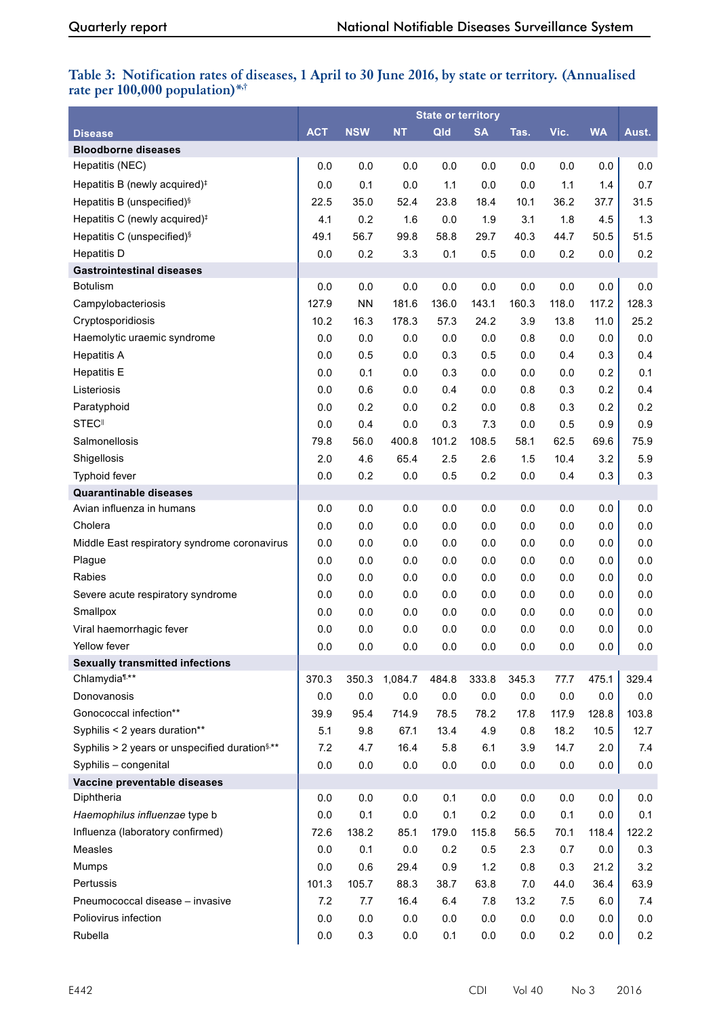## **Table 3: Notification rates of diseases, 1 April to 30 June 2016, by state or territory. (Annualised rate per 100,000 population)\*,†**

|                                                            |            |            |           | <b>State or territory</b> |           |         |       |           |         |
|------------------------------------------------------------|------------|------------|-----------|---------------------------|-----------|---------|-------|-----------|---------|
| <b>Disease</b>                                             | <b>ACT</b> | <b>NSW</b> | <b>NT</b> | Qld                       | <b>SA</b> | Tas.    | Vic.  | <b>WA</b> | Aust.   |
| <b>Bloodborne diseases</b>                                 |            |            |           |                           |           |         |       |           |         |
| Hepatitis (NEC)                                            | 0.0        | 0.0        | 0.0       | 0.0                       | 0.0       | 0.0     | 0.0   | 0.0       | 0.0     |
| Hepatitis B (newly acquired) <sup>#</sup>                  | 0.0        | 0.1        | 0.0       | $1.1$                     | 0.0       | 0.0     | 1.1   | 1.4       | 0.7     |
| Hepatitis B (unspecified) <sup>§</sup>                     | 22.5       | 35.0       | 52.4      | 23.8                      | 18.4      | 10.1    | 36.2  | 37.7      | 31.5    |
| Hepatitis C (newly acquired) <sup>#</sup>                  | 4.1        | 0.2        | 1.6       | 0.0                       | 1.9       | 3.1     | 1.8   | 4.5       | 1.3     |
| Hepatitis C (unspecified) <sup>§</sup>                     | 49.1       | 56.7       | 99.8      | 58.8                      | 29.7      | 40.3    | 44.7  | 50.5      | 51.5    |
| <b>Hepatitis D</b>                                         | 0.0        | 0.2        | 3.3       | 0.1                       | 0.5       | 0.0     | 0.2   | 0.0       | 0.2     |
| <b>Gastrointestinal diseases</b>                           |            |            |           |                           |           |         |       |           |         |
| <b>Botulism</b>                                            | 0.0        | 0.0        | 0.0       | 0.0                       | 0.0       | 0.0     | 0.0   | 0.0       | $0.0\,$ |
| Campylobacteriosis                                         | 127.9      | <b>NN</b>  | 181.6     | 136.0                     | 143.1     | 160.3   | 118.0 | 117.2     | 128.3   |
| Cryptosporidiosis                                          | 10.2       | 16.3       | 178.3     | 57.3                      | 24.2      | 3.9     | 13.8  | 11.0      | 25.2    |
| Haemolytic uraemic syndrome                                | 0.0        | 0.0        | 0.0       | 0.0                       | 0.0       | 0.8     | 0.0   | 0.0       | 0.0     |
| <b>Hepatitis A</b>                                         | 0.0        | 0.5        | 0.0       | 0.3                       | 0.5       | 0.0     | 0.4   | 0.3       | 0.4     |
| <b>Hepatitis E</b>                                         | 0.0        | 0.1        | 0.0       | 0.3                       | 0.0       | 0.0     | 0.0   | 0.2       | 0.1     |
| Listeriosis                                                | 0.0        | 0.6        | 0.0       | 0.4                       | 0.0       | 0.8     | 0.3   | 0.2       | 0.4     |
| Paratyphoid                                                | 0.0        | 0.2        | 0.0       | 0.2                       | 0.0       | 0.8     | 0.3   | 0.2       | 0.2     |
| <b>STEC</b> <sup>II</sup>                                  | 0.0        | 0.4        | 0.0       | 0.3                       | 7.3       | 0.0     | 0.5   | 0.9       | 0.9     |
| Salmonellosis                                              | 79.8       | 56.0       | 400.8     | 101.2                     | 108.5     | 58.1    | 62.5  | 69.6      | 75.9    |
| Shigellosis                                                | 2.0        | 4.6        | 65.4      | 2.5                       | 2.6       | 1.5     | 10.4  | 3.2       | 5.9     |
| Typhoid fever                                              | 0.0        | 0.2        | 0.0       | 0.5                       | 0.2       | 0.0     | 0.4   | 0.3       | 0.3     |
| <b>Quarantinable diseases</b>                              |            |            |           |                           |           |         |       |           |         |
| Avian influenza in humans                                  | 0.0        | 0.0        | 0.0       | 0.0                       | 0.0       | 0.0     | 0.0   | 0.0       | 0.0     |
| Cholera                                                    | 0.0        | 0.0        | 0.0       | 0.0                       | 0.0       | 0.0     | 0.0   | $0.0\,$   | $0.0\,$ |
| Middle East respiratory syndrome coronavirus               | 0.0        | 0.0        | 0.0       | 0.0                       | 0.0       | 0.0     | 0.0   | 0.0       | 0.0     |
| Plague                                                     | 0.0        | 0.0        | 0.0       | 0.0                       | 0.0       | 0.0     | 0.0   | 0.0       | 0.0     |
| Rabies                                                     | 0.0        | 0.0        | 0.0       | 0.0                       | 0.0       | 0.0     | 0.0   | 0.0       | 0.0     |
| Severe acute respiratory syndrome                          | 0.0        | 0.0        | 0.0       | 0.0                       | 0.0       | 0.0     | 0.0   | 0.0       | 0.0     |
| Smallpox                                                   | 0.0        | 0.0        | 0.0       | 0.0                       | 0.0       | 0.0     | 0.0   | 0.0       | 0.0     |
| Viral haemorrhagic fever                                   | 0.0        | 0.0        | 0.0       | 0.0                       | 0.0       | 0.0     | 0.0   | 0.0       | 0.0     |
| Yellow fever                                               | 0.0        | 0.0        | 0.0       | 0.0                       | 0.0       | 0.0     | 0.0   | 0.0       | 0.0     |
| <b>Sexually transmitted infections</b>                     |            |            |           |                           |           |         |       |           |         |
| Chlamydia <sup>1,**</sup>                                  | 370.3      | 350.3      | 1,084.7   | 484.8                     | 333.8     | 345.3   | 77.7  | 475.1     | 329.4   |
| Donovanosis                                                | 0.0        | 0.0        | 0.0       | $0.0\,$                   | 0.0       | 0.0     | 0.0   | $0.0\,$   | $0.0\,$ |
| Gonococcal infection**                                     | 39.9       | 95.4       | 714.9     | 78.5                      | 78.2      | 17.8    | 117.9 | 128.8     | 103.8   |
| Syphilis < 2 years duration**                              | 5.1        | 9.8        | 67.1      | 13.4                      | 4.9       | 0.8     | 18.2  | 10.5      | 12.7    |
| Syphilis > 2 years or unspecified duration <sup>§,**</sup> | 7.2        | 4.7        | 16.4      | 5.8                       | 6.1       | 3.9     | 14.7  | 2.0       | 7.4     |
| Syphilis - congenital                                      | 0.0        | 0.0        | 0.0       | 0.0                       | 0.0       | 0.0     | 0.0   | 0.0       | $0.0\,$ |
| Vaccine preventable diseases                               |            |            |           |                           |           |         |       |           |         |
| Diphtheria                                                 | 0.0        | 0.0        | 0.0       | 0.1                       | 0.0       | $0.0\,$ | 0.0   | 0.0       | $0.0\,$ |
| Haemophilus influenzae type b                              | 0.0        | 0.1        | 0.0       | 0.1                       | 0.2       | 0.0     | 0.1   | 0.0       | 0.1     |
| Influenza (laboratory confirmed)                           | 72.6       | 138.2      | 85.1      | 179.0                     | 115.8     | 56.5    | 70.1  | 118.4     | 122.2   |
| Measles                                                    | 0.0        | 0.1        | 0.0       | 0.2                       | 0.5       | 2.3     | 0.7   | 0.0       | 0.3     |
| Mumps                                                      | 0.0        | 0.6        | 29.4      | 0.9                       | 1.2       | 0.8     | 0.3   | 21.2      | 3.2     |
| Pertussis                                                  | 101.3      | 105.7      | 88.3      | 38.7                      | 63.8      | 7.0     | 44.0  | 36.4      | 63.9    |
| Pneumococcal disease - invasive                            | 7.2        | 7.7        | 16.4      | 6.4                       | 7.8       | 13.2    | 7.5   | 6.0       | 7.4     |
| Poliovirus infection                                       | 0.0        | 0.0        | $0.0\,$   | 0.0                       | 0.0       | 0.0     | 0.0   | 0.0       | $0.0\,$ |
| Rubella                                                    | 0.0        | 0.3        | $0.0\,$   | 0.1                       | $0.0\,$   | 0.0     | 0.2   | 0.0       | 0.2     |